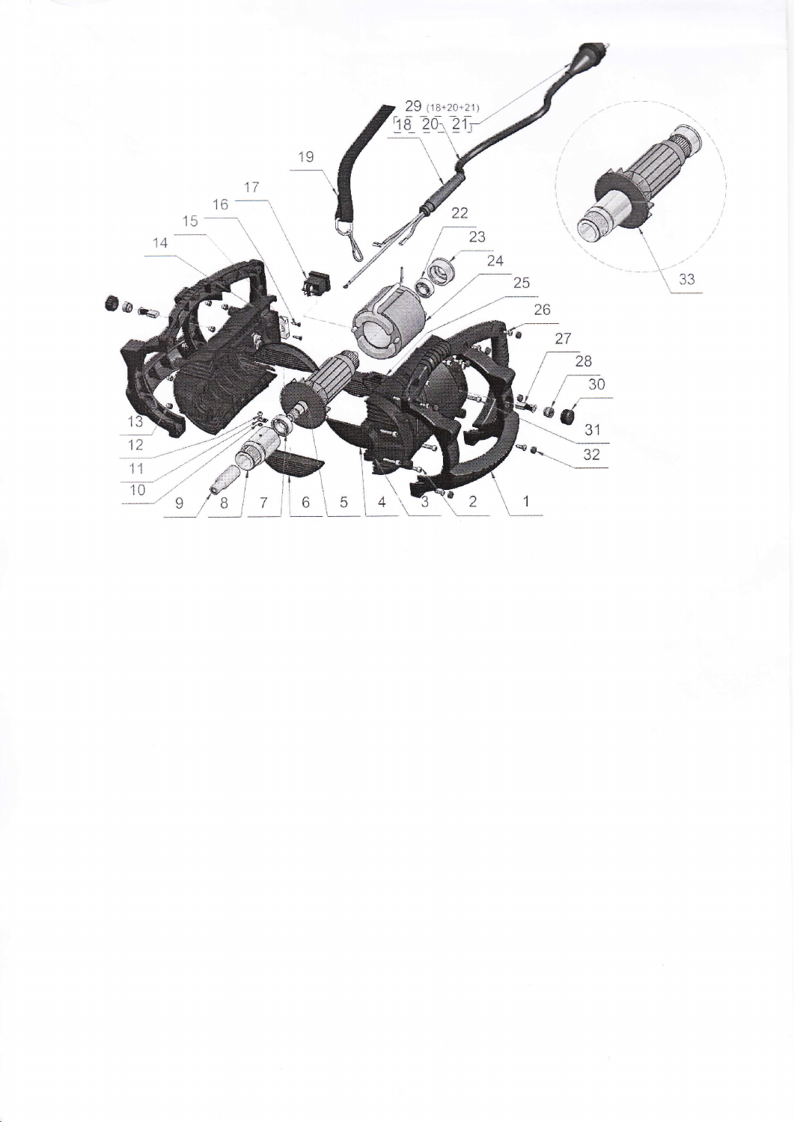